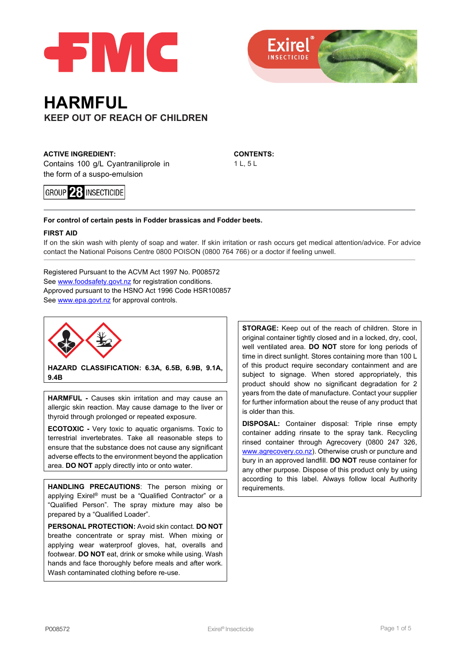



# **HARMFUL KEEP OUT OF REACH OF CHILDREN**

**ACTIVE INGREDIENT:**  Contains 100 g/L Cyantraniliprole in the form of a suspo-emulsion

**GROUP 23 INSECTICIDE** 

**CONTENTS:**  1 L, 5 L

#### **For control of certain pests in Fodder brassicas and Fodder beets.**

#### **FIRST AID**

If on the skin wash with plenty of soap and water. If skin irritation or rash occurs get medical attention/advice. For advice contact the National Poisons Centre 0800 POISON (0800 764 766) or a doctor if feeling unwell.

Registered Pursuant to the ACVM Act 1997 No. P008572 See [www.foodsafety.govt.nz](http://www.foodsafety.govt.nz/) for registration conditions. Approved pursuant to the HSNO Act 1996 Code HSR100857 See [www.epa.govt.nz](http://www.epa.govt.nz/) for approval controls.



**HAZARD CLASSIFICATION: 6.3A, 6.5B, 6.9B, 9.1A, 9.4B**

**HARMFUL -** Causes skin irritation and may cause an allergic skin reaction. May cause damage to the liver or thyroid through prolonged or repeated exposure.

**ECOTOXIC -** Very toxic to aquatic organisms. Toxic to terrestrial invertebrates. Take all reasonable steps to ensure that the substance does not cause any significant adverse effects to the environment beyond the application area. **DO NOT** apply directly into or onto water.

**HANDLING PRECAUTIONS**: The person mixing or applying Exirel® must be a "Qualified Contractor" or a "Qualified Person". The spray mixture may also be prepared by a "Qualified Loader".

**PERSONAL PROTECTION:** Avoid skin contact. **DO NOT** breathe concentrate or spray mist. When mixing or applying wear waterproof gloves, hat, overalls and footwear. **DO NOT** eat, drink or smoke while using. Wash hands and face thoroughly before meals and after work. Wash contaminated clothing before re-use.

**STORAGE:** Keep out of the reach of children. Store in original container tightly closed and in a locked, dry, cool, well ventilated area. **DO NOT** store for long periods of time in direct sunlight. Stores containing more than 100 L of this product require secondary containment and are subject to signage. When stored appropriately, this product should show no significant degradation for 2 years from the date of manufacture. Contact your supplier for further information about the reuse of any product that is older than this.

**DISPOSAL:** Container disposal: Triple rinse empty container adding rinsate to the spray tank. Recycling rinsed container through Agrecovery (0800 247 326, [www.agrecovery.co.nz\)](http://www.agrecovery.co.nz/). Otherwise crush or puncture and bury in an approved landfill. **DO NOT** reuse container for any other purpose. Dispose of this product only by using according to this label. Always follow local Authority requirements.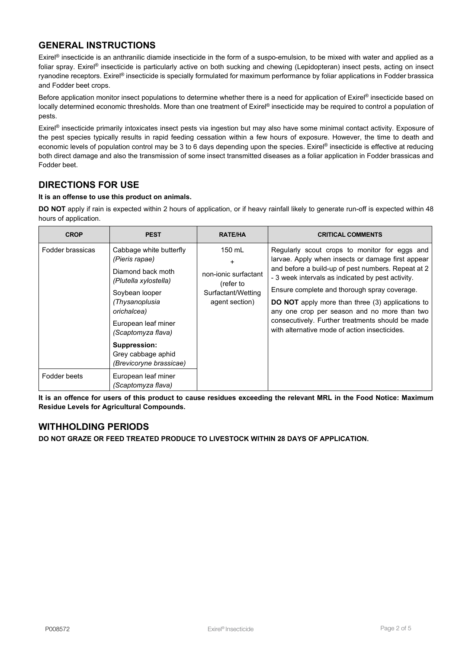# **GENERAL INSTRUCTIONS**

Exirel® insecticide is an anthranilic diamide insecticide in the form of a suspo-emulsion, to be mixed with water and applied as a foliar spray. Exirel® insecticide is particularly active on both sucking and chewing (Lepidopteran) insect pests, acting on insect ryanodine receptors. Exirel® insecticide is specially formulated for maximum performance by foliar applications in Fodder brassica and Fodder beet crops.

Before application monitor insect populations to determine whether there is a need for application of Exirel® insecticide based on locally determined economic thresholds. More than one treatment of Exirel® insecticide may be required to control a population of pests.

Exirel® insecticide primarily intoxicates insect pests via ingestion but may also have some minimal contact activity. Exposure of the pest species typically results in rapid feeding cessation within a few hours of exposure. However, the time to death and economic levels of population control may be 3 to 6 days depending upon the species. Exirel® insecticide is effective at reducing both direct damage and also the transmission of some insect transmitted diseases as a foliar application in Fodder brassicas and Fodder beet.

# **DIRECTIONS FOR USE**

#### **It is an offense to use this product on animals.**

**DO NOT** apply if rain is expected within 2 hours of application, or if heavy rainfall likely to generate run-off is expected within 48 hours of application.

| <b>CROP</b>      | <b>PEST</b>                                                                                                                 | <b>RATE/HA</b>                                                                        | <b>CRITICAL COMMENTS</b>                                                                                                                                                                                                                                                                                                                                                                                                                                                      |
|------------------|-----------------------------------------------------------------------------------------------------------------------------|---------------------------------------------------------------------------------------|-------------------------------------------------------------------------------------------------------------------------------------------------------------------------------------------------------------------------------------------------------------------------------------------------------------------------------------------------------------------------------------------------------------------------------------------------------------------------------|
| Fodder brassicas | Cabbage white butterfly<br>(Pieris rapae)<br>Diamond back moth<br>(Plutella xylostella)<br>Soybean looper<br>(Thysanoplusia | $150$ mL<br>non-ionic surfactant<br>(refer to<br>Surfactant/Wetting<br>agent section) | Regularly scout crops to monitor for eggs and<br>larvae. Apply when insects or damage first appear<br>and before a build-up of pest numbers. Repeat at 2<br>- 3 week intervals as indicated by pest activity.<br>Ensure complete and thorough spray coverage.<br><b>DO NOT</b> apply more than three (3) applications to<br>any one crop per season and no more than two<br>consecutively. Further treatments should be made<br>with alternative mode of action insecticides. |
|                  | orichalcea)<br>European leaf miner<br>(Scaptomyza flava)<br>Suppression:<br>Grey cabbage aphid                              |                                                                                       |                                                                                                                                                                                                                                                                                                                                                                                                                                                                               |
| Fodder beets     | (Brevicoryne brassicae)<br>European leaf miner<br>(Scaptomyza flava)                                                        |                                                                                       |                                                                                                                                                                                                                                                                                                                                                                                                                                                                               |

**It is an offence for users of this product to cause residues exceeding the relevant MRL in the Food Notice: Maximum Residue Levels for Agricultural Compounds.**

### **WITHHOLDING PERIODS**

**DO NOT GRAZE OR FEED TREATED PRODUCE TO LIVESTOCK WITHIN 28 DAYS OF APPLICATION.**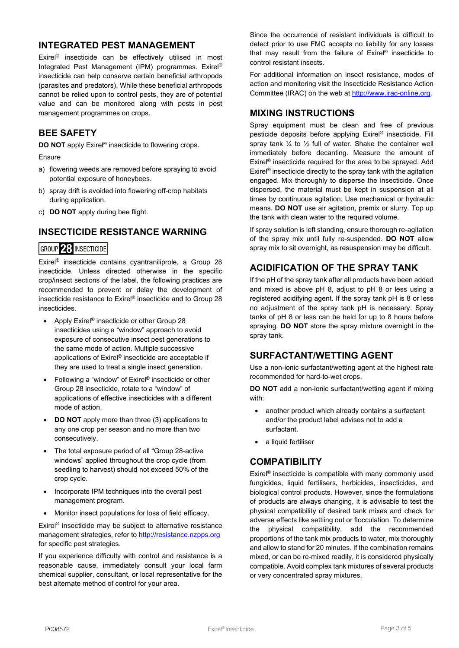### **INTEGRATED PEST MANAGEMENT**

Exirel® insecticide can be effectively utilised in most Integrated Pest Management (IPM) programmes. Exirel® insecticide can help conserve certain beneficial arthropods (parasites and predators). While these beneficial arthropods cannot be relied upon to control pests, they are of potential value and can be monitored along with pests in pest management programmes on crops.

# **BEE SAFETY**

**DO NOT** apply Exirel<sup>®</sup> insecticide to flowering crops.

Ensure

- a) flowering weeds are removed before spraying to avoid potential exposure of honeybees.
- b) spray drift is avoided into flowering off-crop habitats during application.
- c) **DO NOT** apply during bee flight.

# **INSECTICIDE RESISTANCE WARNING**

### **GROUP 28 INSECTICIDE**

Exirel® insecticide contains cyantraniliprole, a Group 28 insecticide. Unless directed otherwise in the specific crop/insect sections of the label, the following practices are recommended to prevent or delay the development of insecticide resistance to Exirel® insecticide and to Group 28 insecticides.

- Apply Exirel<sup>®</sup> insecticide or other Group 28 insecticides using a "window" approach to avoid exposure of consecutive insect pest generations to the same mode of action. Multiple successive applications of Exirel® insecticide are acceptable if they are used to treat a single insect generation.
- Following a "window" of Exirel® insecticide or other Group 28 insecticide, rotate to a "window" of applications of effective insecticides with a different mode of action.
- **DO NOT** apply more than three (3) applications to any one crop per season and no more than two consecutively.
- The total exposure period of all "Group 28-active windows" applied throughout the crop cycle (from seedling to harvest) should not exceed 50% of the crop cycle.
- Incorporate IPM techniques into the overall pest management program.
- Monitor insect populations for loss of field efficacy.

Exirel® insecticide may be subject to alternative resistance management strategies, refer to [http://resistance.nzpps.org](http://resistance.nzpps.org/) for specific pest strategies.

If you experience difficulty with control and resistance is a reasonable cause, immediately consult your local farm chemical supplier, consultant, or local representative for the best alternate method of control for your area.

Since the occurrence of resistant individuals is difficult to detect prior to use FMC accepts no liability for any losses that may result from the failure of Exirel® insecticide to control resistant insects.

For additional information on insect resistance, modes of action and monitoring visit the Insecticide Resistance Action Committee (IRAC) on the web at [http://www.irac-online.org.](http://www.irac-online.org/)

# **MIXING INSTRUCTIONS**

Spray equipment must be clean and free of previous pesticide deposits before applying Exirel® insecticide. Fill spray tank  $\frac{1}{4}$  to  $\frac{1}{2}$  full of water. Shake the container well immediately before decanting. Measure the amount of Exirel® insecticide required for the area to be sprayed. Add Exirel<sup>®</sup> insecticide directly to the spray tank with the agitation engaged. Mix thoroughly to disperse the insecticide. Once dispersed, the material must be kept in suspension at all times by continuous agitation. Use mechanical or hydraulic means. **DO NOT** use air agitation, premix or slurry. Top up the tank with clean water to the required volume.

If spray solution is left standing, ensure thorough re-agitation of the spray mix until fully re-suspended. **DO NOT** allow spray mix to sit overnight, as resuspension may be difficult.

# **ACIDIFICATION OF THE SPRAY TANK**

If the pH of the spray tank after all products have been added and mixed is above pH 8, adjust to pH 8 or less using a registered acidifying agent. If the spray tank pH is 8 or less no adjustment of the spray tank pH is necessary. Spray tanks of pH 8 or less can be held for up to 8 hours before spraying. **DO NOT** store the spray mixture overnight in the spray tank.

### **SURFACTANT/WETTING AGENT**

Use a non-ionic surfactant/wetting agent at the highest rate recommended for hard-to-wet crops.

**DO NOT** add a non-ionic surfactant/wetting agent if mixing with:

- another product which already contains a surfactant and/or the product label advises not to add a surfactant.
- a liquid fertiliser

# **COMPATIBILITY**

Exirel® insecticide is compatible with many commonly used fungicides, liquid fertilisers, herbicides, insecticides, and biological control products. However, since the formulations of products are always changing, it is advisable to test the physical compatibility of desired tank mixes and check for adverse effects like settling out or flocculation. To determine the physical compatibility, add the recommended proportions of the tank mix products to water, mix thoroughly and allow to stand for 20 minutes. If the combination remains mixed, or can be re-mixed readily, it is considered physically compatible. Avoid complex tank mixtures of several products or very concentrated spray mixtures.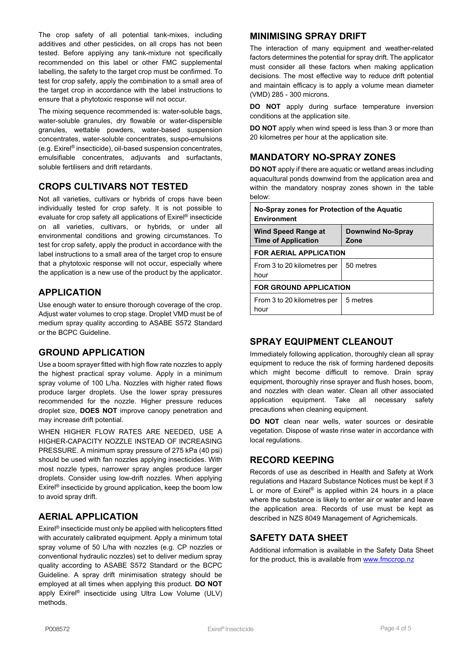The crop safety of all potential tank-mixes, including additives and other pesticides, on all crops has not been tested. Before applying any tank-mixture not specifically recommended on this label or other FMC supplemental labelling, the safety to the target crop must be confirmed. To test for crop safety, apply the combination to a small area of the target crop in accordance with the label instructions to ensure that a phytotoxic response will not occur.

The mixing sequence recommended is: water-soluble bags, water-soluble granules, dry flowable or water-dispersible granules, wettable powders, water-based suspension concentrates, water-soluble concentrates, suspo-emulsions (e.g. Exirel® insecticide), oil-based suspension concentrates, emulsifiable concentrates, adjuvants and surfactants, soluble fertilisers and drift retardants.

# **CROPS CULTIVARS NOT TESTED**

Not all varieties, cultivars or hybrids of crops have been individually tested for crop safety. It is not possible to evaluate for crop safety all applications of Exirel® insecticide on all varieties, cultivars, or hybrids, or under all environmental conditions and growing circumstances. To test for crop safety, apply the product in accordance with the label instructions to a small area of the target crop to ensure that a phytotoxic response will not occur, especially where the application is a new use of the product by the applicator.

# **APPLICATION**

Use enough water to ensure thorough coverage of the crop. Adjust water volumes to crop stage. Droplet VMD must be of medium spray quality according to ASABE S572 Standard or the BCPC Guideline.

### **GROUND APPLICATION**

Use a boom sprayer fitted with high flow rate nozzles to apply the highest practical spray volume. Apply in a minimum spray volume of 100 L/ha. Nozzles with higher rated flows produce larger droplets. Use the lower spray pressures recommended for the nozzle. Higher pressure reduces droplet size, **DOES NOT** improve canopy penetration and may increase drift potential.

WHEN HIGHER FLOW RATES ARE NEEDED, USE A HIGHER-CAPACITY NOZZLE INSTEAD OF INCREASING PRESSURE. A minimum spray pressure of 275 kPa (40 psi) should be used with fan nozzles applying insecticides. With most nozzle types, narrower spray angles produce larger droplets. Consider using low-drift nozzles. When applying Exirel® insecticide by ground application, keep the boom low to avoid spray drift.

### **AERIAL APPLICATION**

Exirel® insecticide must only be applied with helicopters fitted with accurately calibrated equipment. Apply a minimum total spray volume of 50 L/ha with nozzles (e.g. CP nozzles or conventional hydraulic nozzles) set to deliver medium spray quality according to ASABE S572 Standard or the BCPC Guideline. A spray drift minimisation strategy should be employed at all times when applying this product. **DO NOT** apply Exirel® insecticide using Ultra Low Volume (ULV) methods.

#### **MINIMISING SPRAY DRIFT**

The interaction of many equipment and weather-related factors determines the potential for spray drift. The applicator must consider all these factors when making application decisions. The most effective way to reduce drift potential and maintain efficacy is to apply a volume mean diameter (VMD) 285 - 300 microns.

**DO NOT** apply during surface temperature inversion conditions at the application site.

**DO NOT** apply when wind speed is less than 3 or more than 20 kilometres per hour at the application site.

# **MANDATORY NO-SPRAY ZONES**

**DO NOT** apply if there are aquatic or wetland areas including aquacultural ponds downwind from the application area and within the mandatory nospray zones shown in the table below:

| No-Spray zones for Protection of the Aquatic<br><b>Environment</b> |                                  |  |  |  |
|--------------------------------------------------------------------|----------------------------------|--|--|--|
| <b>Wind Speed Range at</b><br><b>Time of Application</b>           | <b>Downwind No-Spray</b><br>Zone |  |  |  |
| <b>FOR AERIAL APPLICATION</b>                                      |                                  |  |  |  |
| From 3 to 20 kilometres per<br>hour                                | 50 metres                        |  |  |  |
| <b>FOR GROUND APPLICATION</b>                                      |                                  |  |  |  |
| From 3 to 20 kilometres per<br>hour                                | 5 metres                         |  |  |  |

# **SPRAY EQUIPMENT CLEANOUT**

Immediately following application, thoroughly clean all spray equipment to reduce the risk of forming hardened deposits which might become difficult to remove. Drain spray equipment, thoroughly rinse sprayer and flush hoses, boom, and nozzles with clean water. Clean all other associated application equipment. Take all necessary safety precautions when cleaning equipment.

**DO NOT** clean near wells, water sources or desirable vegetation. Dispose of waste rinse water in accordance with local regulations.

# **RECORD KEEPING**

Records of use as described in Health and Safety at Work regulations and Hazard Substance Notices must be kept if 3 L or more of Exirel<sup>®</sup> is applied within 24 hours in a place where the substance is likely to enter air or water and leave the application area. Records of use must be kept as described in NZS 8049 Management of Agrichemicals.

### **SAFETY DATA SHEET**

Additional information is available in the Safety Data Sheet for the product, this is available from [www.fmccrop.nz](http://www.fmccrop.nz/)